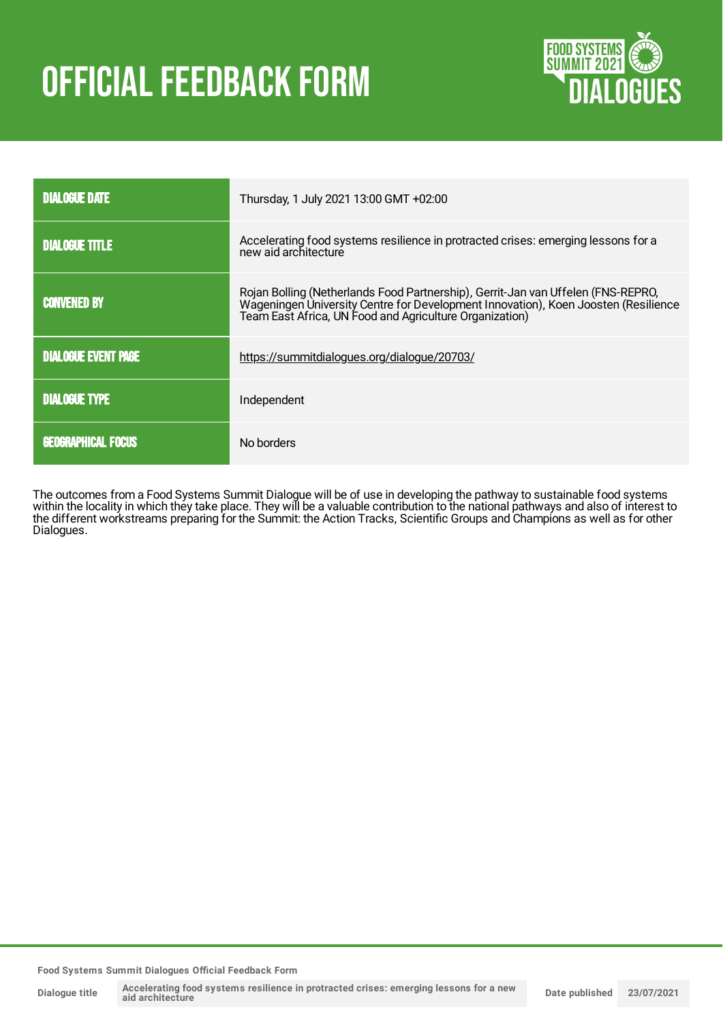# **OFFICIAL FEEDBACK FORM**



| <b>DIALOGUE DATE</b>       | Thursday, 1 July 2021 13:00 GMT +02:00                                                                                                                                                                                            |
|----------------------------|-----------------------------------------------------------------------------------------------------------------------------------------------------------------------------------------------------------------------------------|
| <b>DIALOGUE TITLE</b>      | Accelerating food systems resilience in protracted crises: emerging lessons for a<br>new aid architecture                                                                                                                         |
| <b>CONVENED BY</b>         | Rojan Bolling (Netherlands Food Partnership), Gerrit-Jan van Uffelen (FNS-REPRO,<br>Wageningen University Centre for Development Innovation), Koen Joosten (Resilience<br>Team East Africa, UN Food and Agriculture Organization) |
| <b>DIALOGUE EVENT PAGE</b> | https://summitdialogues.org/dialogue/20703/                                                                                                                                                                                       |
| <b>DIALOGUE TYPE</b>       | Independent                                                                                                                                                                                                                       |
| <b>GEOGRAPHICAL FOCUS</b>  | No borders                                                                                                                                                                                                                        |

The outcomes from a Food Systems Summit Dialogue will be of use in developing the pathway to sustainable food systems within the locality in which they take place. They will be a valuable contribution to the national pathways and also of interest to the different workstreams preparing for the Summit: the Action Tracks, Scientific Groups and Champions as well as for other Dialogues.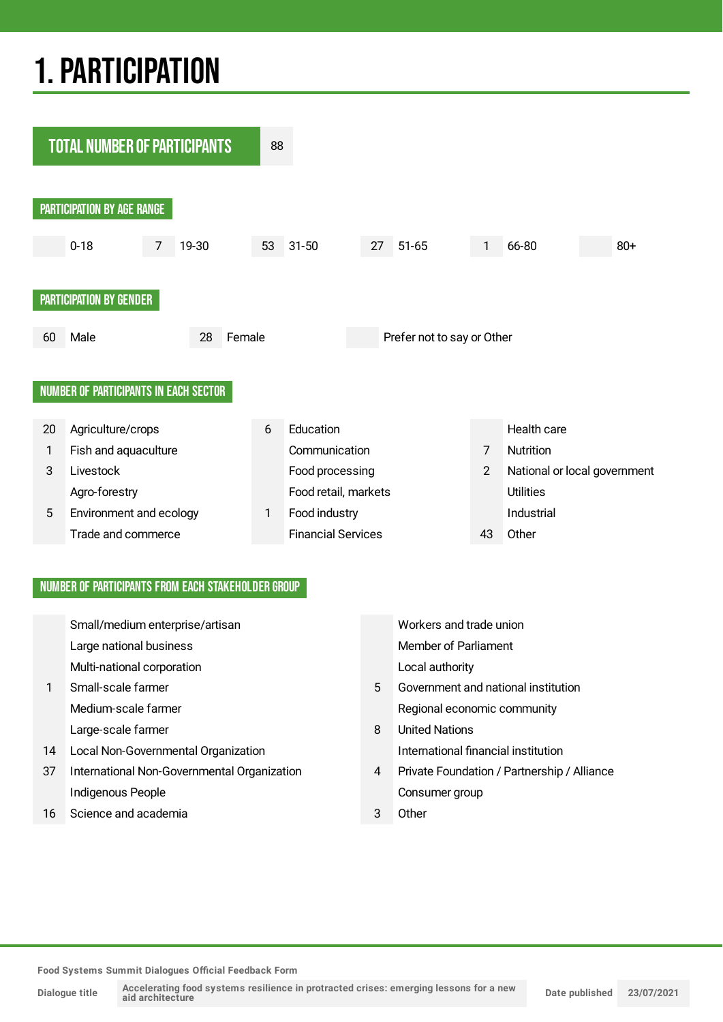## 1.PARTICIPATION



#### NUMBER OF PARTICIPANTS FROM EACH STAKEHOLDER GROUP

|    | Small/medium enterprise/artisan             |   | Workers and trade union                     |
|----|---------------------------------------------|---|---------------------------------------------|
|    | Large national business                     |   | <b>Member of Parliament</b>                 |
|    | Multi-national corporation                  |   | Local authority                             |
|    | Small-scale farmer                          | 5 | Government and national institution         |
|    | Medium-scale farmer                         |   | Regional economic community                 |
|    | Large-scale farmer                          | 8 | <b>United Nations</b>                       |
| 14 | Local Non-Governmental Organization         |   | International financial institution         |
| 37 | International Non-Governmental Organization | 4 | Private Foundation / Partnership / Alliance |
|    | Indigenous People                           |   | Consumer group                              |
| 16 | Science and academia                        | 3 | Other                                       |
|    |                                             |   |                                             |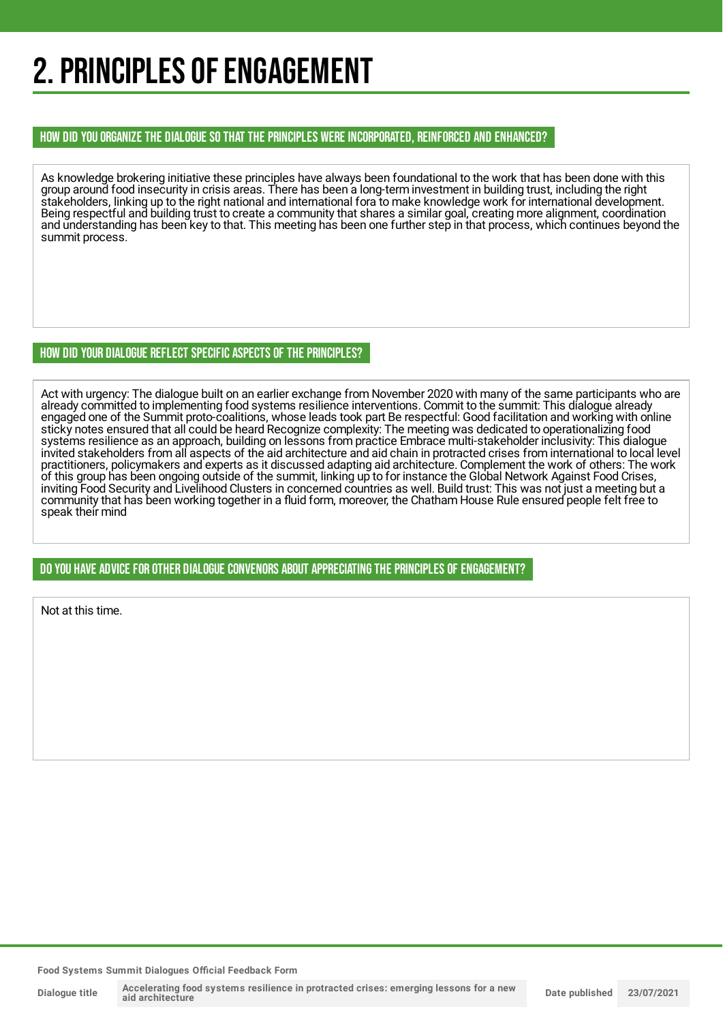## 2. PRINCIPLES OF ENGAGEMENT

#### HOW DID YOU ORGANIZE THE DIALOGUE SO THAT THE PRINCIPLES WERE INCORPORATED, REINFORCED AND ENHANCED?

As knowledge brokering initiative these principles have always been foundational to the work that has been done with this group around food insecurity in crisis areas. There has been a long-term investment in building trust, including the right stakeholders, linking up to the right national and international fora to make knowledge work for international development. Being respectful and building trust to create a community that shares a similar goal, creating more alignment, coordination and understanding has been key to that. This meeting has been one further step in that process, which continues beyond the summit process.

#### HOW DID YOUR DIALOGUE REFLECT SPECIFIC ASPECTS OF THE PRINCIPLES?

Act with urgency: The dialogue built on an earlier exchange from November 2020 with many of the same participants who are already committed to implementing food systems resilience interventions. Commit to the summit: This dialogue already engaged one of the Summit proto-coalitions, whose leads took part Be respectful: Good facilitation and working with online sticky notes ensured that all could be heard Recognize complexity: The meeting was dedicated to operationalizing food systems resilience as an approach, building on lessons from practice Embrace multi-stakeholder inclusivity: This dialogue invited stakeholders from all aspects of the aid architecture and aid chain in protracted crises from international to local level practitioners, policymakers and experts as it discussed adapting aid architecture. Complement the work of others: The work of this group has been ongoing outside of the summit, linking up to for instance the Global Network Against Food Crises, inviting Food Security and Livelihood Clusters in concerned countries as well. Build trust: This was not just a meeting but a community that has been working together in a fluid form, moreover, the Chatham House Rule ensured people felt free to speak their mind

#### DO YOU HAVE ADVICE FOR OTHER DIALOGUE CONVENORS ABOUT APPRECIATINGTHE PRINCIPLES OF ENGAGEMENT?

Not at this time.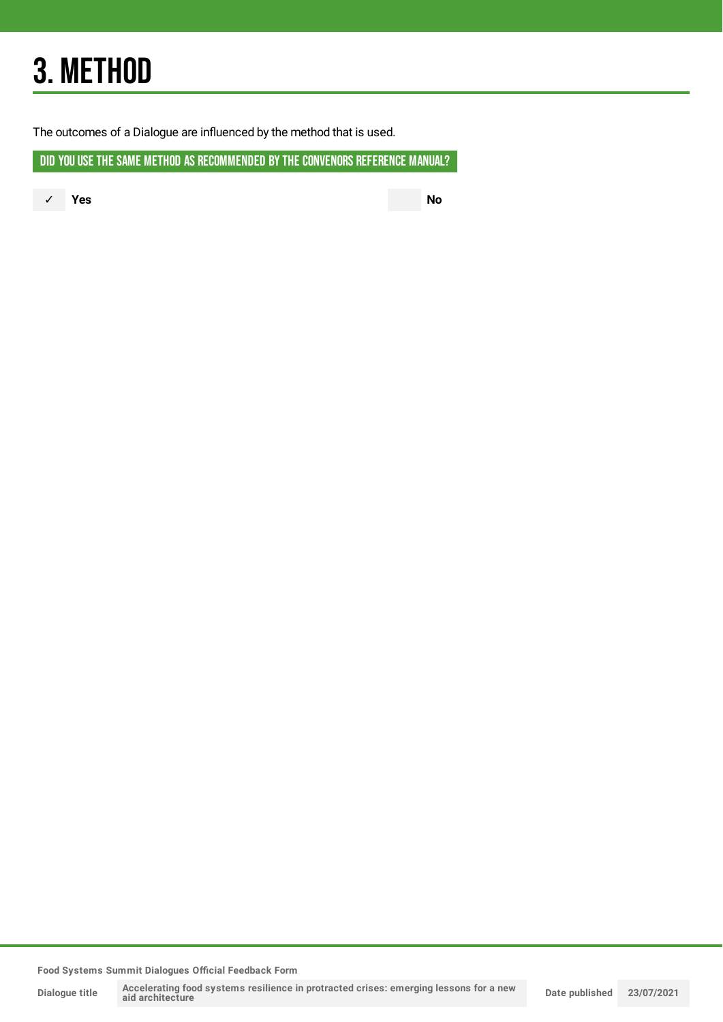## 3. METHOD

The outcomes of a Dialogue are influenced by the method that is used.

DID YOU USE THE SAME METHOD AS RECOMMENDED BY THE CONVENORS REFERENCE MANUAL?

✓ **Yes No**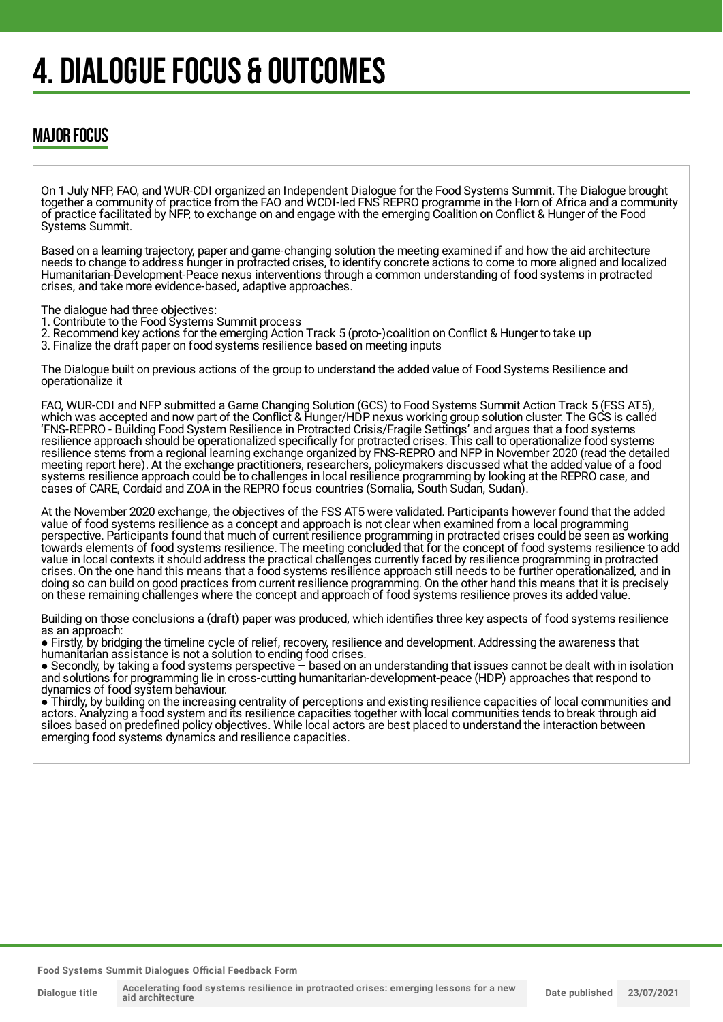## 4. DIALOGUE FOCUS & OUTCOMES

### MAJOR FOCUS

On 1 July NFP, FAO, and WUR-CDI organized an Independent Dialogue for the Food Systems Summit. The Dialogue brought together a community of practice from the FAO and WCDI-led FNS REPRO programme in the Horn of Africa and a community of practice facilitated by NFP, to exchange on and engage with the emerging Coalition on Conflict & Hunger of the Food Systems Summit.

Based on a learning trajectory, paper and game-changing solution the meeting examined if and how the aid architecture needs to change to address hunger in protracted crises, to identify concrete actions to come to more aligned and localized Humanitarian-Development-Peace nexus interventions through a common understanding of food systems in protracted crises, and take more evidence-based, adaptive approaches.

The dialogue had three objectives:

1. Contribute to the Food Systems Summit process

2. Recommend key actions for the emerging Action Track 5 (proto-)coalition on Conflict & Hunger to take up

3. Finalize the draft paper on food systems resilience based on meeting inputs

The Dialogue built on previous actions of the group to understand the added value of Food Systems Resilience and operationalize it

FAO, WUR-CDI and NFP submitted a Game Changing Solution (GCS) to Food Systems Summit Action Track 5 (FSS AT5), which was accepted and now part of the Conflict & Hunger/HDP nexus working group solution cluster. The GCS is called 'FNS-REPRO - Building Food System Resilience in Protracted Crisis/Fragile Settings' and argues that a food systems resilience approach should be operationalized specifically for protracted crises. This call to operationalize food systems resilience stems from a regional learning exchange organized by FNS-REPRO and NFP in November 2020 (read the detailed meeting report here). At the exchange practitioners, researchers, policymakers discussed what the added value of a food systems resilience approach could be to challenges in local resilience programming by looking at the REPRO case, and cases of CARE, Cordaid and ZOA in the REPRO focus countries (Somalia, South Sudan, Sudan).

At the November 2020 exchange, the objectives of the FSS AT5 were validated. Participants however found that the added value of food systems resilience as a concept and approach is not clear when examined from a local programming perspective. Participants found that much of current resilience programming in protracted crises could be seen as working towards elements of food systems resilience. The meeting concluded that for the concept of food systems resilience to add value in local contexts it should address the practical challenges currently faced by resilience programming in protracted crises. On the one hand this means that a food systems resilience approach still needs to be further operationalized, and in doing so can build on good practices from current resilience programming. On the other hand this means that it is precisely on these remaining challenges where the concept and approach of food systems resilience proves its added value.

Building on those conclusions a (draft) paper was produced, which identifies three key aspects of food systems resilience as an approach:

● Firstly, by bridging the timeline cycle of relief, recovery, resilience and development. Addressing the awareness that humanitarian assistance is not a solution to ending food crises.

● Secondly, by taking a food systems perspective – based on an understanding that issues cannot be dealt with in isolation and solutions for programming lie in cross-cutting humanitarian-development-peace (HDP) approaches that respond to dynamics of food system behaviour.

● Thirdly, by building on the increasing centrality of perceptions and existing resilience capacities of local communities and actors. Analyzing a food system and its resilience capacities together with local communities tends to break through aid siloes based on predefined policy objectives. While local actors are best placed to understand the interaction between emerging food systems dynamics and resilience capacities.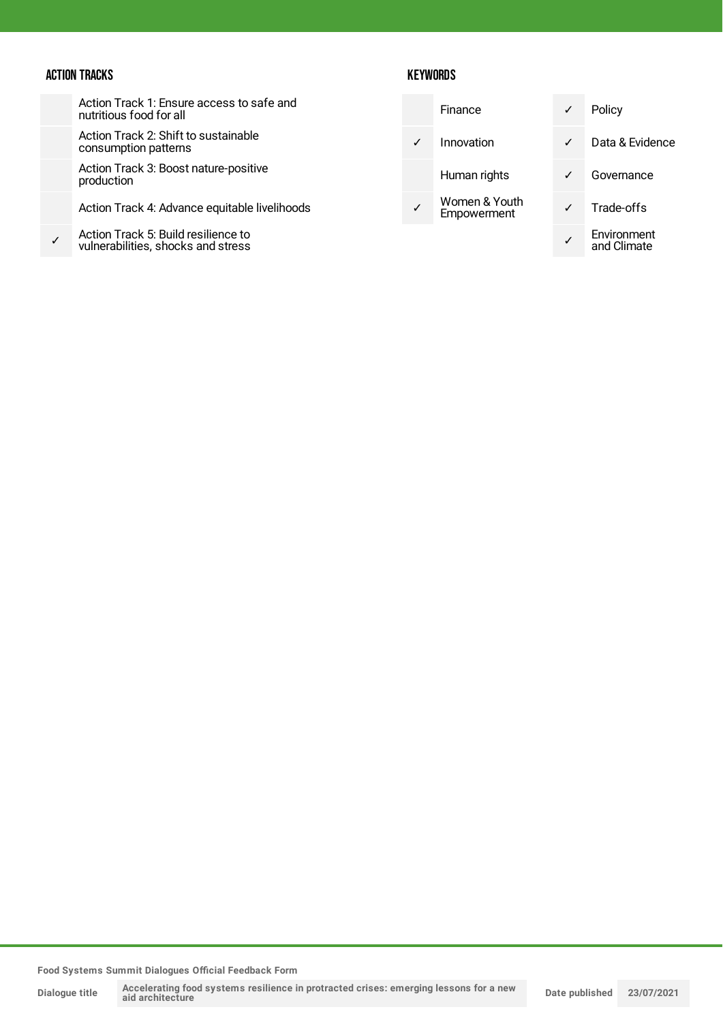#### ACTION TRACKS

Action Track 1: Ensure access to safe and nutritious food for all

Action Track 2: Shift to sustainable consumption patterns

Action Track 3: Boost nature-positive production

Action Track 4: Advance equitable livelihoods

✓ Action Track 5: Build resilience to vulnerabilities, shocks and stress

#### **KEYWORDS**

|  | Finance                             | ✓ | Policy                     |
|--|-------------------------------------|---|----------------------------|
|  | Innovation                          |   | Data & Evidence            |
|  | Human rights                        |   | Governance                 |
|  | Women & Youth<br><b>Empowerment</b> |   | Trade-offs                 |
|  |                                     |   | Environment<br>and Climate |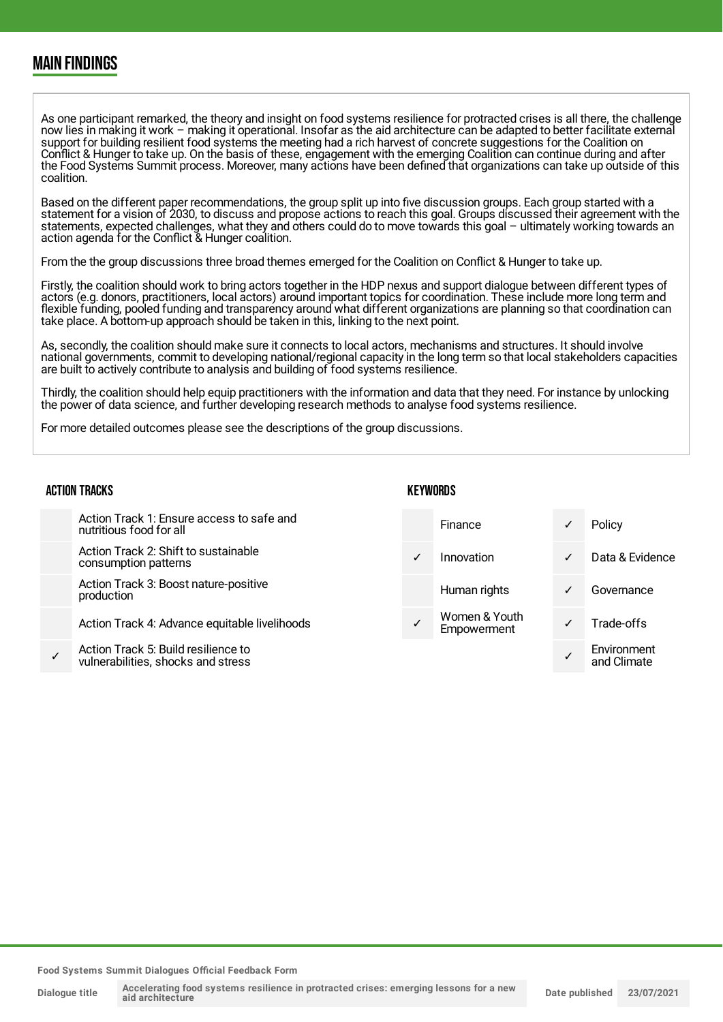### MAIN FINDINGS

As one participant remarked, the theory and insight on food systems resilience for protracted crises is all there, the challenge now lies in making it work – making it operational. Insofar as the aid architecture can be adapted to better facilitate external support for building resilient food systems the meeting had a rich harvest of concrete suggestions for the Coalition on Conflict & Hunger to take up. On the basis of these, engagement with the emerging Coalition can continue during and after the Food Systems Summit process. Moreover, many actions have been defined that organizations can take up outside of this coalition.

Based on the different paper recommendations, the group split up into five discussion groups. Each group started with a statement for a vision of 2030, to discuss and propose actions to reach this goal. Groups discussed their agreement with the statements, expected challenges, what they and others could do to move towards this goal – ultimately working towards an action agenda for the Conflict & Hunger coalition.

From the the group discussions three broad themes emerged for the Coalition on Conflict & Hunger to take up.

Firstly, the coalition should work to bring actors together in the HDP nexus and support dialogue between different types of actors (e.g. donors, practitioners, local actors) around important topics for coordination. These include more long term and flexible funding, pooled funding and transparency around what different organizations are planning so that coordination can take place. A bottom-up approach should be taken in this, linking to the next point.

As, secondly, the coalition should make sure it connects to local actors, mechanisms and structures. It should involve national governments, commit to developing national/regional capacity in the long term so that local stakeholders capacities are built to actively contribute to analysis and building of food systems resilience.

Thirdly, the coalition should help equip practitioners with the information and data that they need. For instance by unlocking the power of data science, and further developing research methods to analyse food systems resilience.

For more detailed outcomes please see the descriptions of the group discussions.

#### ACTION TRACKS

#### **KEYWORDS**

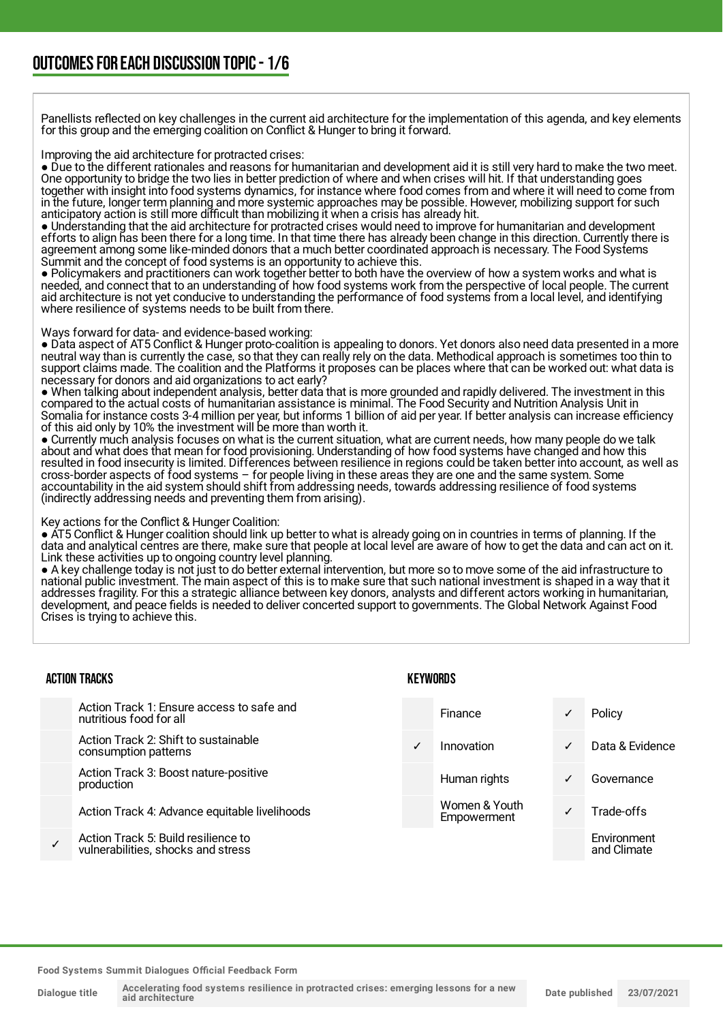Panellists reflected on key challenges in the current aid architecture for the implementation of this agenda, and key elements for this group and the emerging coalition on Conflict & Hunger to bring it forward.

Improving the aid architecture for protracted crises:

● Due to the different rationales and reasons for humanitarian and development aid it is still very hard to make the two meet. One opportunity to bridge the two lies in better prediction of where and when crises will hit. If that understanding goes together with insight into food systems dynamics, for instance where food comes from and where it will need to come from in the future, longer term planning and more systemic approaches may be possible. However, mobilizing support for such anticipatory action is still more difficult than mobilizing it when a crisis has already hit.

● Understanding that the aid architecture for protracted crises would need to improve for humanitarian and development efforts to align has been there for a long time. In that time there has already been change in this direction. Currently there is agreement among some like-minded donors that a much better coordinated approach is necessary. The Food Systems Summit and the concept of food systems is an opportunity to achieve this.

● Policymakers and practitioners can work together better to both have the overview of how a system works and what is needed, and connect that to an understanding of how food systems work from the perspective of local people. The current aid architecture is not yet conducive to understanding the performance of food systems from a local level, and identifying where resilience of systems needs to be built from there.

#### Ways forward for data- and evidence-based working:

● Data aspect of AT5 Conflict & Hunger proto-coalition is appealing to donors. Yet donors also need data presented in a more neutral way than is currently the case, so that they can really rely on the data. Methodical approach is sometimes too thin to support claims made. The coalition and the Platforms it proposes can be places where that can be worked out: what data is necessary for donors and aid organizations to act early?

● When talking about independent analysis, better data that is more grounded and rapidly delivered. The investment in this compared to the actual costs of humanitarian assistance is minimal. The Food Security and Nutrition Analysis Unit in Somalia for instance costs 3-4 million per year, but informs 1 billion of aid per year. If better analysis can increase efficiency of this aid only by 10% the investment will be more than worth it.

● Currently much analysis focuses on what is the current situation, what are current needs, how many people do we talk about and what does that mean for food provisioning. Understanding of how food systems have changed and how this resulted in food insecurity is limited. Differences between resilience in regions could be taken better into account, as well as cross-border aspects of food systems – for people living in these areas they are one and the same system. Some accountability in the aid system should shift from addressing needs, towards addressing resilience of food systems (indirectly addressing needs and preventing them from arising).

Key actions for the Conflict & Hunger Coalition:

● AT5 Conflict & Hunger coalition should link up better to what is already going on in countries in terms of planning. If the data and analytical centres are there, make sure that people at local level are aware of how to get the data and can act on it. Link these activities up to ongoing country level planning.

● A key challenge today is not just to do better external intervention, but more so to move some of the aid infrastructure to national public investment. The main aspect of this is to make sure that such national investment is shaped in a way that it addresses fragility. For this a strategic alliance between key donors, analysts and different actors working in humanitarian, development, and peace fields is needed to deliver concerted support to governments. The Global Network Against Food Crises is trying to achieve this.

#### ACTION TRACKS Action Track 1: Ensure access to safe and nutritious food for all Action Track 2: Shift to sustainable consumption patterns Action Track 3: Boost nature-positive production Action Track 4: Advance equitable livelihoods ✓ Action Track 5: Build resilience to vulnerabilities, shocks and stress **KEYWORDS** Finance ✓ Policy ✓ Innovation ✓ Data & Evidence Human rights **V** Governance Women & Youth Women & Tourn<br>Empowerment V Trade-offs **Environment** and Climate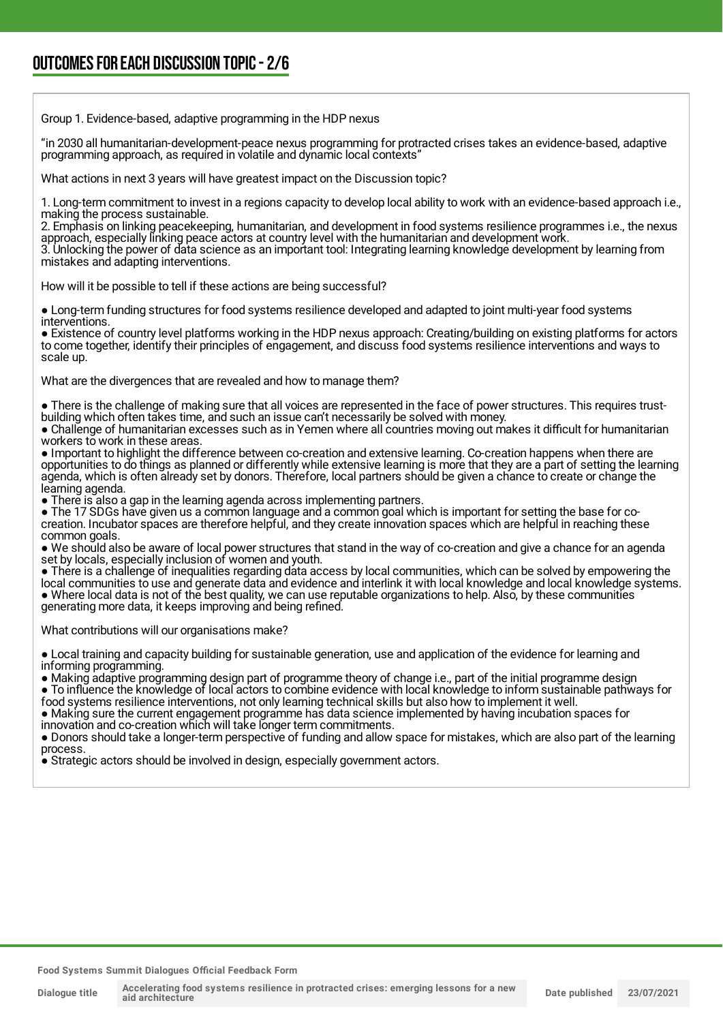Group 1. Evidence-based, adaptive programming in the HDP nexus

"in 2030 all humanitarian-development-peace nexus programming for protracted crises takes an evidence-based, adaptive programming approach, as required in volatile and dynamic local contexts"

What actions in next 3 years will have greatest impact on the Discussion topic?

1. Long-term commitment to invest in a regions capacity to develop local ability to work with an evidence-based approach i.e., making the process sustainable.

2. Emphasis on linking peacekeeping, humanitarian, and development in food systems resilience programmes i.e., the nexus approach, especially linking peace actors at country level with the humanitarian and development work.

3. Unlocking the power of data science as an important tool: Integrating learning knowledge development by learning from mistakes and adapting interventions.

How will it be possible to tell if these actions are being successful?

● Long-term funding structures for food systems resilience developed and adapted to joint multi-year food systems interventions.

● Existence of country level platforms working in the HDP nexus approach: Creating/building on existing platforms for actors to come together, identify their principles of engagement, and discuss food systems resilience interventions and ways to scale up.

What are the divergences that are revealed and how to manage them?

● There is the challenge of making sure that all voices are represented in the face of power structures. This requires trustbuilding which often takes time, and such an issue can't necessarily be solved with money.

● Challenge of humanitarian excesses such as in Yemen where all countries moving out makes it difficult for humanitarian workers to work in these areas.

● Important to highlight the difference between co-creation and extensive learning. Co-creation happens when there are opportunities to do things as planned or differently while extensive learning is more that they are a part of setting the learning agenda, which is often already set by donors. Therefore, local partners should be given a chance to create or change the learning agenda.

• There is also a gap in the learning agenda across implementing partners.

● The 17 SDGs have given us a common language and a common goal which is important for setting the base for cocreation. Incubator spaces are therefore helpful, and they create innovation spaces which are helpful in reaching these common goals.

● We should also be aware of local power structures that stand in the way of co-creation and give a chance for an agenda set by locals, especially inclusion of women and youth.

● There is a challenge of inequalities regarding data access by local communities, which can be solved by empowering the local communities to use and generate data and evidence and interlink it with local knowledge and local knowledge systems. ● Where local data is not of the best quality, we can use reputable organizations to help. Also, by these communities generating more data, it keeps improving and being refined.

What contributions will our organisations make?

● Local training and capacity building for sustainable generation, use and application of the evidence for learning and informing programming.

● Making adaptive programming design part of programme theory of change i.e., part of the initial programme design ● To influence the knowledge of local actors to combine evidence with local knowledge to inform sustainable pathways for

food systems resilience interventions, not only learning technical skills but also how to implement it well. ● Making sure the current engagement programme has data science implemented by having incubation spaces for innovation and co-creation which will take longer term commitments.

● Donors should take a longer-term perspective of funding and allow space for mistakes, which are also part of the learning process.

● Strategic actors should be involved in design, especially government actors.

**aid architecture**

**Dialogue title**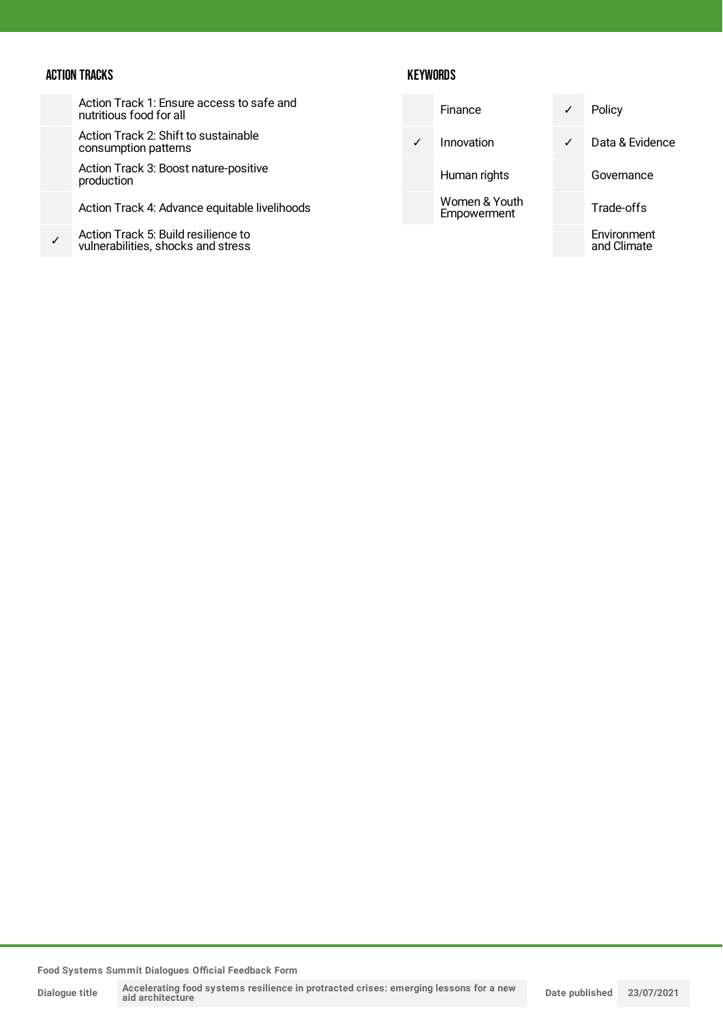#### ACTION TRACKS

Action Track 1: Ensure access to safe and nutritious food for all

Action Track 2: Shift to sustainable consumption patterns

Action Track 3: Boost nature-positive production

Action Track 4: Advance equitable livelihoods

✓ Action Track 5: Build resilience to vulnerabilities, shocks and stress

#### **KEYWORDS**

|   | Finance                      | ✓ | Policy                     |
|---|------------------------------|---|----------------------------|
| ✓ | Innovation                   | ✓ | Data & Evidence            |
|   | Human rights                 |   | Governance                 |
|   | Women & Youth<br>Empowerment |   | Trade-offs                 |
|   |                              |   | Environment<br>and Climate |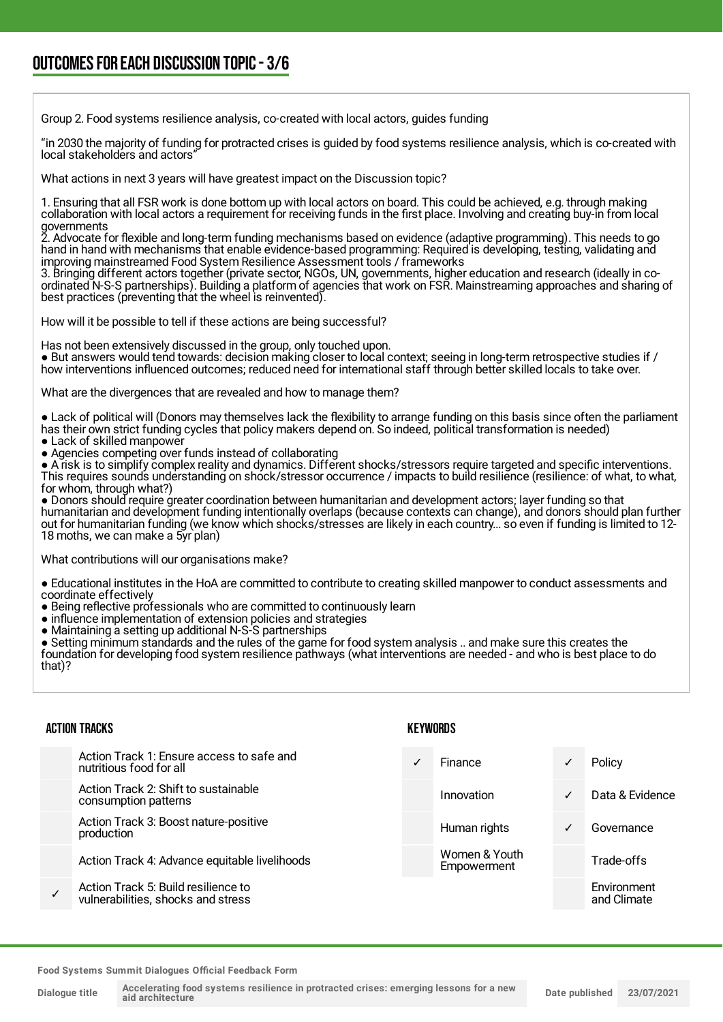Group 2. Food systems resilience analysis, co-created with local actors, guides funding

"in 2030 the majority of funding for protracted crises is guided by food systems resilience analysis, which is co-created with local stakeholders and actors'

What actions in next 3 years will have greatest impact on the Discussion topic?

1. Ensuring that all FSR work is done bottom up with local actors on board. This could be achieved, e.g. through making collaboration with local actors a requirement for receiving funds in the first place. Involving and creating buy-in from local governments

2. Advocate for flexible and long-term funding mechanisms based on evidence (adaptive programming). This needs to go hand in hand with mechanisms that enable evidence-based programming: Required is developing, testing, validating and improving mainstreamed Food System Resilience Assessment tools / frameworks

3. Bringing different actors together (private sector, NGOs, UN, governments, higher education and research (ideally in coordinated N-S-S partnerships). Building a platform of agencies that work on FSR. Mainstreaming approaches and sharing of best practices (preventing that the wheel is reinvented).

How will it be possible to tell if these actions are being successful?

Has not been extensively discussed in the group, only touched upon.

● But answers would tend towards: decision making closer to local context; seeing in long-term retrospective studies if / how interventions influenced outcomes; reduced need for international staff through better skilled locals to take over.

What are the divergences that are revealed and how to manage them?

● Lack of political will (Donors may themselves lack the flexibility to arrange funding on this basis since often the parliament has their own strict funding cycles that policy makers depend on. So indeed, political transformation is needed)

- Lack of skilled manpower
- Agencies competing over funds instead of collaborating

● A risk is to simplify complex reality and dynamics. Different shocks/stressors require targeted and specific interventions. This requires sounds understanding on shock/stressor occurrence / impacts to build resilience (resilience: of what, to what, for whom, through what?)

● Donors should require greater coordination between humanitarian and development actors; layer funding so that humanitarian and development funding intentionally overlaps (because contexts can change), and donors should plan further out for humanitarian funding (we know which shocks/stresses are likely in each country... so even if funding is limited to 12- 18 moths, we can make a 5yr plan)

What contributions will our organisations make?

● Educational institutes in the HoA are committed to contribute to creating skilled manpower to conduct assessments and coordinate effectively

- Being reflective professionals who are committed to continuously learn
- influence implementation of extension policies and strategies
- Maintaining a setting up additional N-S-S partnerships

● Setting minimum standards and the rules of the game for food system analysis .. and make sure this creates the foundation for developing food system resilience pathways (what interventions are needed - and who is best place to do that)?

#### ACTION TRACKS

| Action Track 1: Ensure access to safe and<br>nutritious food for all      | Finance                      |              | Policy                     |
|---------------------------------------------------------------------------|------------------------------|--------------|----------------------------|
| Action Track 2: Shift to sustainable<br>consumption patterns              | Innovation                   | ✓            | Data & Evidence            |
| Action Track 3: Boost nature-positive<br>production                       | Human rights                 | $\checkmark$ | Governance                 |
| Action Track 4: Advance equitable livelihoods                             | Women & Youth<br>Empowerment |              | Trade-offs                 |
| Action Track 5: Build resilience to<br>vulnerabilities, shocks and stress |                              |              | Environment<br>and Climate |
|                                                                           |                              |              |                            |

**KEYWORDS**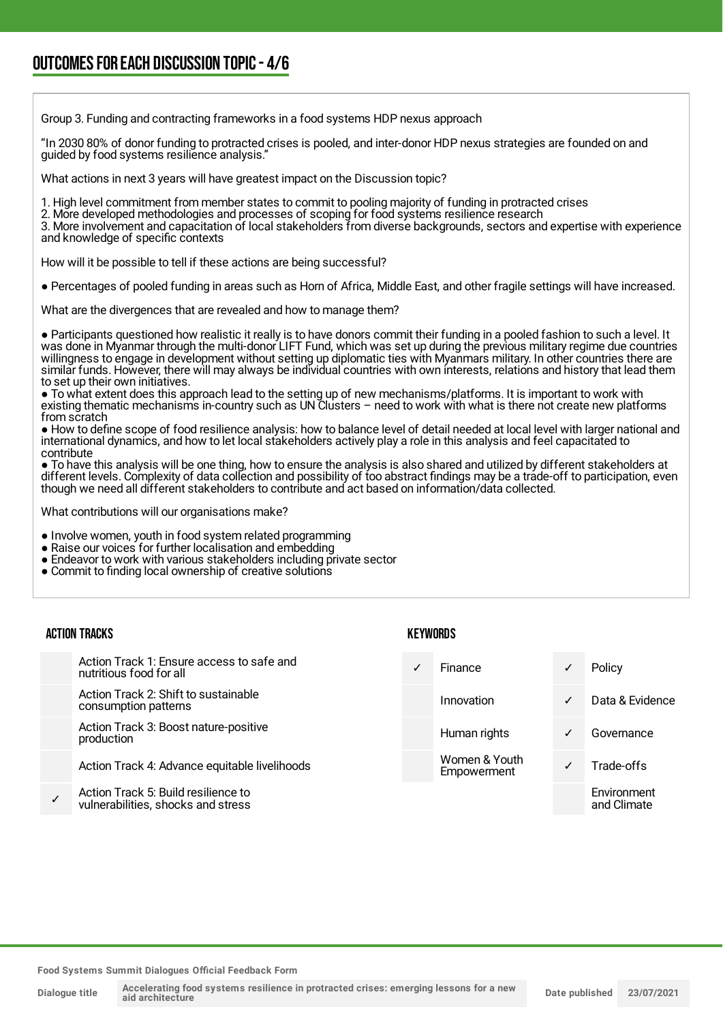## OUTCOMESFOR EACH DISCUSSION TOPIC- 4/6

Group 3. Funding and contracting frameworks in a food systems HDP nexus approach

"In 2030 80% of donor funding to protracted crises is pooled, and inter-donor HDP nexus strategies are founded on and guided by food systems resilience analysis."

What actions in next 3 years will have greatest impact on the Discussion topic?

1. High level commitment from member states to commit to pooling majority of funding in protracted crises

2. More developed methodologies and processes of scoping for food systems resilience research

3. More involvement and capacitation of local stakeholders from diverse backgrounds, sectors and expertise with experience and knowledge of specific contexts

How will it be possible to tell if these actions are being successful?

● Percentages of pooled funding in areas such as Horn of Africa, Middle East, and other fragile settings will have increased.

What are the divergences that are revealed and how to manage them?

● Participants questioned how realistic it really is to have donors commit their funding in a pooled fashion to such a level. It was done in Myanmar through the multi-donor LIFT Fund, which was set up during the previous military regime due countries willingness to engage in development without setting up diplomatic ties with Myanmars military. In other countries there are similar funds. However, there will may always be individual countries with own interests, relations and history that lead them to set up their own initiatives.

● To what extent does this approach lead to the setting up of new mechanisms/platforms. It is important to work with existing thematic mechanisms in-country such as UN Clusters – need to work with what is there not create new platforms from scratch

● How to define scope of food resilience analysis: how to balance level of detail needed at local level with larger national and international dynamics, and how to let local stakeholders actively play a role in this analysis and feel capacitated to contribute

● To have this analysis will be one thing, how to ensure the analysis is also shared and utilized by different stakeholders at different levels. Complexity of data collection and possibility of too abstract findings may be a trade-off to participation, even though we need all different stakeholders to contribute and act based on information/data collected.

What contributions will our organisations make?

● Involve women, youth in food system related programming

- Raise our voices for further localisation and embedding
- Endeavor to work with various stakeholders including private sector
- Commit to finding local ownership of creative solutions

| <b>ACTION TRACKS</b> |  |
|----------------------|--|
|----------------------|--|

Action Track 1: Ensure access to safe and nutritious food for all

Action Track 2: Shift to sustainable consumption patterns

Action Track 3: Boost nature-positive production

Action Track 4: Advance equitable livelihoods

✓ Action Track 5: Build resilience to vulnerabilities, shocks and stress **KEYWORDS** 

Finance **v** Policy Innovation ✓ Data & Evidence Human rights **v** Governance Women & Youth Women & Tourn<br>Empowerment V Trade-offs **Environment** and Climate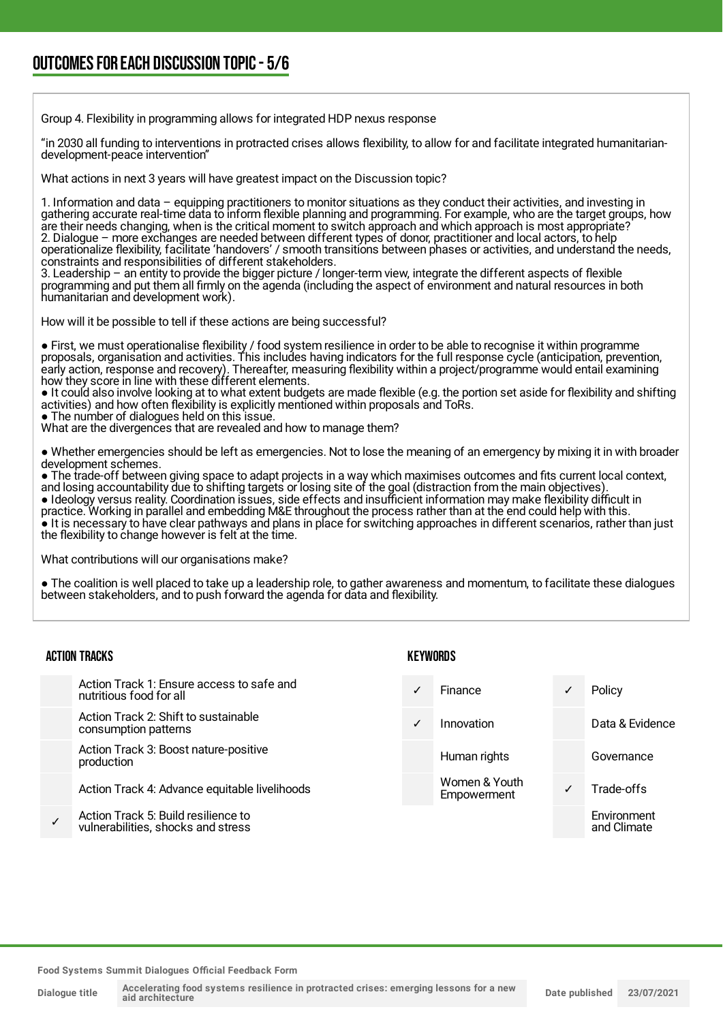## OUTCOMESFOR EACH DISCUSSION TOPIC- 5/6

Group 4. Flexibility in programming allows for integrated HDP nexus response

"in 2030 all funding to interventions in protracted crises allows flexibility, to allow for and facilitate integrated humanitariandevelopment-peace intervention"

What actions in next 3 years will have greatest impact on the Discussion topic?

1. Information and data – equipping practitioners to monitor situations as they conduct their activities, and investing in gathering accurate real-time data to inform flexible planning and programming. For example, who are the target groups, how are their needs changing, when is the critical moment to switch approach and which approach is most appropriate? 2. Dialogue – more exchanges are needed between different types of donor, practitioner and local actors, to help operationalize flexibility, facilitate 'handovers' / smooth transitions between phases or activities, and understand the needs, constraints and responsibilities of different stakeholders.

3. Leadership – an entity to provide the bigger picture / longer-term view, integrate the different aspects of flexible programming and put them all firmly on the agenda (including the aspect of environment and natural resources in both humanitarian and development work).

How will it be possible to tell if these actions are being successful?

● First, we must operationalise flexibility / food system resilience in order to be able to recognise it within programme proposals, organisation and activities. This includes having indicators for the full response cycle (anticipation, prevention, early action, response and recovery). Thereafter, measuring flexibility within a project/programme would entail examining how they score in line with these different elements.

● It could also involve looking at to what extent budgets are made flexible (e.g. the portion set aside for flexibility and shifting activities) and how often flexibility is explicitly mentioned within proposals and ToRs.

• The number of dialogues held on this issue.

What are the divergences that are revealed and how to manage them?

● Whether emergencies should be left as emergencies. Not to lose the meaning of an emergency by mixing it in with broader development schemes.

● The trade-off between giving space to adapt projects in a way which maximises outcomes and fits current local context, and losing accountability due to shifting targets or losing site of the goal (distraction from the main objectives).

● Ideology versus reality. Coordination issues, side effects and insufficient information may make flexibility difficult in practice. Working in parallel and embedding M&E throughout the process rather than at the end could help with this. ● It is necessary to have clear pathways and plans in place for switching approaches in different scenarios, rather than just the flexibility to change however is felt at the time.

What contributions will our organisations make?

● The coalition is well placed to take up a leadership role, to gather awareness and momentum, to facilitate these dialogues between stakeholders, and to push forward the agenda for data and flexibility.

| <b>ACTION TRACKS</b>                                                      |   | KEYWORDS                     |              |                            |  |
|---------------------------------------------------------------------------|---|------------------------------|--------------|----------------------------|--|
| Action Track 1: Ensure access to safe and<br>nutritious food for all      | ✓ | Finance                      | ✓            | Policy                     |  |
| Action Track 2: Shift to sustainable<br>consumption patterns              | ✓ | Innovation                   |              | Data & Evidence            |  |
| Action Track 3: Boost nature-positive<br>production                       |   | Human rights                 |              | Governance                 |  |
| Action Track 4: Advance equitable livelihoods                             |   | Women & Youth<br>Empowerment | $\checkmark$ | Trade-offs                 |  |
| Action Track 5: Build resilience to<br>vulnerabilities, shocks and stress |   |                              |              | Environment<br>and Climate |  |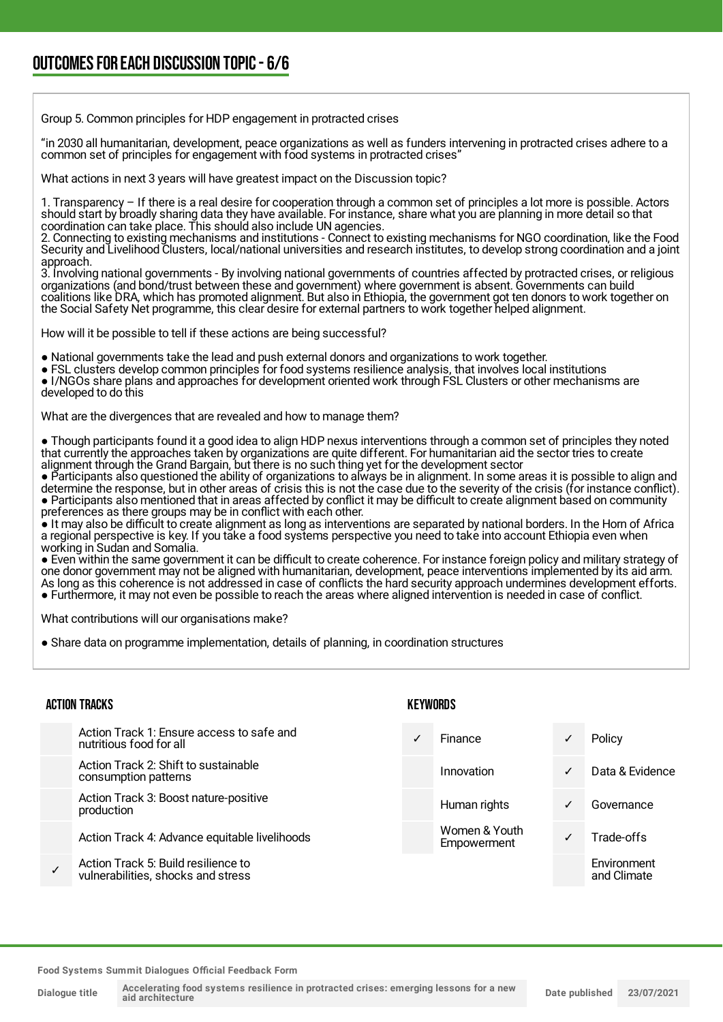Group 5. Common principles for HDP engagement in protracted crises

"in 2030 all humanitarian, development, peace organizations as well as funders intervening in protracted crises adhere to a common set of principles for engagement with food systems in protracted crises"

What actions in next 3 years will have greatest impact on the Discussion topic?

1. Transparency – If there is a real desire for cooperation through a common set of principles a lot more is possible. Actors should start by broadly sharing data they have available. For instance, share what you are planning in more detail so that coordination can take place. This should also include UN agencies.

2. Connecting to existing mechanisms and institutions - Connect to existing mechanisms for NGO coordination, like the Food Security and Livelihood Clusters, local/national universities and research institutes, to develop strong coordination and a joint approach.

3. Involving national governments - By involving national governments of countries affected by protracted crises, or religious organizations (and bond/trust between these and government) where government is absent. Governments can build coalitions like DRA, which has promoted alignment. But also in Ethiopia, the government got ten donors to work together on the Social Safety Net programme, this clear desire for external partners to work together helped alignment.

How will it be possible to tell if these actions are being successful?

● National governments take the lead and push external donors and organizations to work together.

● FSL clusters develop common principles for food systems resilience analysis, that involves local institutions ● I/NGOs share plans and approaches for development oriented work through FSL Clusters or other mechanisms are developed to do this

What are the divergences that are revealed and how to manage them?

● Though participants found it a good idea to align HDP nexus interventions through a common set of principles they noted that currently the approaches taken by organizations are quite different. For humanitarian aid the sector tries to create alignment through the Grand Bargain, but there is no such thing yet for the development sector

● Participants also questioned the ability of organizations to always be in alignment. In some areas it is possible to align and determine the response, but in other areas of crisis this is not the case due to the severity of the crisis (for instance conflict). ● Participants also mentioned that in areas affected by conflict it may be difficult to create alignment based on community preferences as there groups may be in conflict with each other.

● It may also be difficult to create alignment as long as interventions are separated by national borders. In the Horn of Africa a regional perspective is key. If you take a food systems perspective you need to take into account Ethiopia even when working in Sudan and Somalia.

● Even within the same government it can be difficult to create coherence. For instance foreign policy and military strategy of one donor government may not be aligned with humanitarian, development, peace interventions implemented by its aid arm. As long as this coherence is not addressed in case of conflicts the hard security approach undermines development efforts. ● Furthermore, it may not even be possible to reach the areas where aligned intervention is needed in case of conflict.

What contributions will our organisations make?

● Share data on programme implementation, details of planning, in coordination structures

#### ACTION TRACKS

| Action Track 1: Ensure access to safe and<br>nutritious food for all      | Finance                      |              | Policy                     |
|---------------------------------------------------------------------------|------------------------------|--------------|----------------------------|
| Action Track 2: Shift to sustainable<br>consumption patterns              | Innovation                   | $\checkmark$ | Data & Evidence            |
| Action Track 3: Boost nature-positive<br>production                       | Human rights                 | $\checkmark$ | Governance                 |
| Action Track 4: Advance equitable livelihoods                             | Women & Youth<br>Empowerment |              | Trade-offs                 |
| Action Track 5: Build resilience to<br>vulnerabilities, shocks and stress |                              |              | Environment<br>and Climate |

KEYWORDS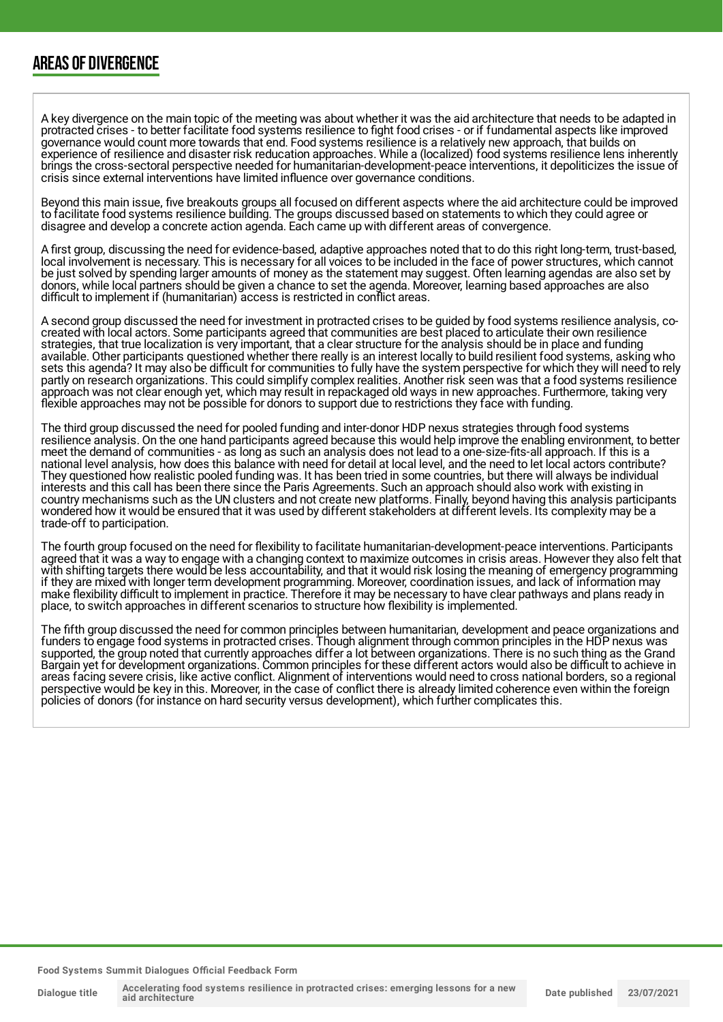### AREAS OF DIVERGENCE

A key divergence on the main topic of the meeting was about whether it was the aid architecture that needs to be adapted in protracted crises - to better facilitate food systems resilience to fight food crises - or if fundamental aspects like improved governance would count more towards that end. Food systems resilience is a relatively new approach, that builds on experience of resilience and disaster risk reducation approaches. While a (localized) food systems resilience lens inherently brings the cross-sectoral perspective needed for humanitarian-development-peace interventions, it depoliticizes the issue of crisis since external interventions have limited influence over governance conditions.

Beyond this main issue, five breakouts groups all focused on different aspects where the aid architecture could be improved to facilitate food systems resilience building. The groups discussed based on statements to which they could agree or disagree and develop a concrete action agenda. Each came up with different areas of convergence.

A first group, discussing the need for evidence-based, adaptive approaches noted that to do this right long-term, trust-based, local involvement is necessary. This is necessary for all voices to be included in the face of power structures, which cannot be just solved by spending larger amounts of money as the statement may suggest. Often learning agendas are also set by donors, while local partners should be given a chance to set the agenda. Moreover, learning based approaches are also difficult to implement if (humanitarian) access is restricted in conflict areas.

A second group discussed the need for investment in protracted crises to be guided by food systems resilience analysis, cocreated with local actors. Some participants agreed that communities are best placed to articulate their own resilience strategies, that true localization is very important, that a clear structure for the analysis should be in place and funding available. Other participants questioned whether there really is an interest locally to build resilient food systems, asking who sets this agenda? It may also be difficult for communities to fully have the system perspective for which they will need to rely partly on research organizations. This could simplify complex realities. Another risk seen was that a food systems resilience approach was not clear enough yet, which may result in repackaged old ways in new approaches. Furthermore, taking very flexible approaches may not be possible for donors to support due to restrictions they face with funding.

The third group discussed the need for pooled funding and inter-donor HDP nexus strategies through food systems resilience analysis. On the one hand participants agreed because this would help improve the enabling environment, to better meet the demand of communities - as long as such an analysis does not lead to a one-size-fits-all approach. If this is a national level analysis, how does this balance with need for detail at local level, and the need to let local actors contribute? They questioned how realistic pooled funding was. It has been tried in some countries, but there will always be individual interests and this call has been there since the Paris Agreements. Such an approach should also work with existing in country mechanisms such as the UN clusters and not create new platforms. Finally, beyond having this analysis participants wondered how it would be ensured that it was used by different stakeholders at different levels. Its complexity may be a trade-off to participation.

The fourth group focused on the need for flexibility to facilitate humanitarian-development-peace interventions. Participants agreed that it was a way to engage with a changing context to maximize outcomes in crisis areas. However they also felt that with shifting targets there would be less accountability, and that it would risk losing the meaning of emergency programming if they are mixed with longer term development programming. Moreover, coordination issues, and lack of information may make flexibility difficult to implement in practice. Therefore it may be necessary to have clear pathways and plans ready in place, to switch approaches in different scenarios to structure how flexibility is implemented.

The fifth group discussed the need for common principles between humanitarian, development and peace organizations and funders to engage food systems in protracted crises. Though alignment through common principles in the HDP nexus was supported, the group noted that currently approaches differ a lot between organizations. There is no such thing as the Grand Bargain yet for development organizations. Common principles for these different actors would also be difficult to achieve in areas facing severe crisis, like active conflict. Alignment of interventions would need to cross national borders, so a regional perspective would be key in this. Moreover, in the case of conflict there is already limited coherence even within the foreign policies of donors (for instance on hard security versus development), which further complicates this.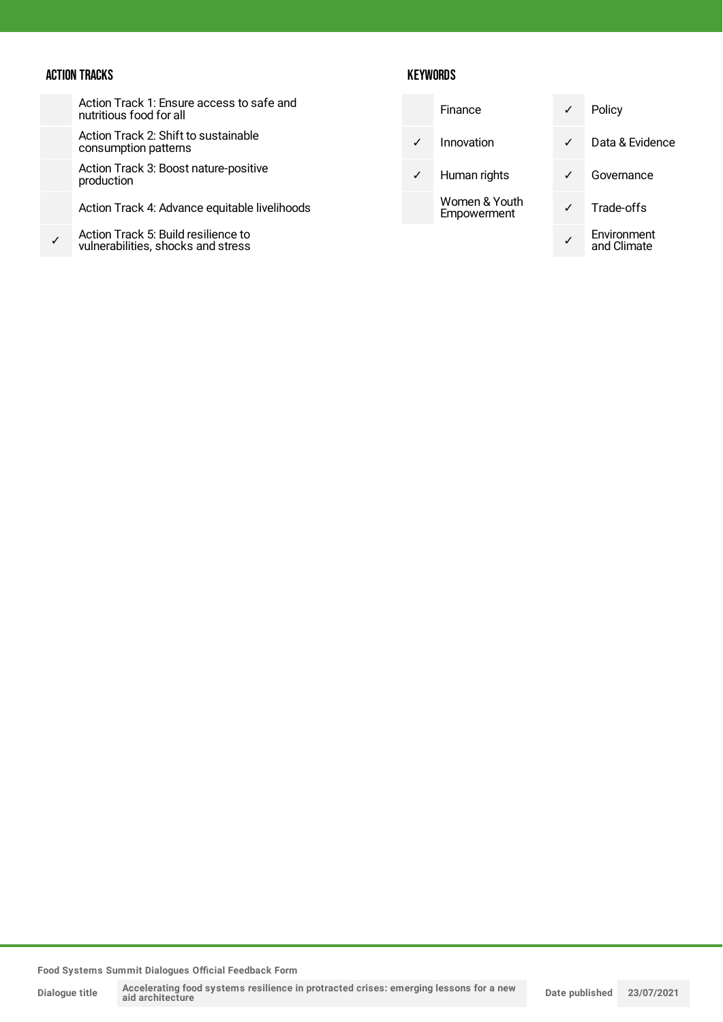#### ACTION TRACKS

✓

Action Track 1: Ensure access to safe and nutritious food for all

Action Track 2: Shift to sustainable consumption patterns

Action Track 3: Boost nature-positive production

Action Track 4: Advance equitable livelihoods

Action Track 5: Build resilience to vulnerabilities, shocks and stress

#### **KEYWORDS**

| Finance                      |              | Policy                     |
|------------------------------|--------------|----------------------------|
| Innovation                   |              | Data & Evidence            |
| Human rights                 |              | Governance                 |
| Women & Youth<br>Empowerment | $\checkmark$ | Trade-offs                 |
|                              |              | Environment<br>and Climate |